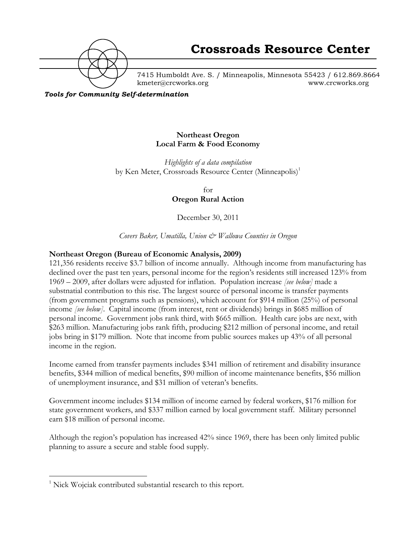

7415 Humboldt Ave. S. / Minneapolis, Minnesota 55423 / 612.869.8664 kmeter@crcworks.org www.crcworks.org

*Tools for Community Self-determination*

### **Northeast Oregon Local Farm & Food Economy**

*Highlights of a data compilation* by Ken Meter, Crossroads Resource Center (Minneapolis)<sup>1</sup>

> for **Oregon Rural Action**

December 30, 2011

*Covers Baker, Umatilla, Union & Wallowa Counties in Oregon*

### **Northeast Oregon (Bureau of Economic Analysis, 2009)**

121,356 residents receive \$3.7 billion of income annually. Although income from manufacturing has declined over the past ten years, personal income for the region's residents still increased 123% from 1969 – 2009, after dollars were adjusted for inflation. Population increase *[see below]* made a substnatial contribution to this rise. The largest source of personal income is transfer payments (from government programs such as pensions), which account for \$914 million (25%) of personal income *[see below]*. Capital income (from interest, rent or dividends) brings in \$685 million of personal income. Government jobs rank third, with \$665 million. Health care jobs are next, with \$263 million. Manufacturing jobs rank fifth, producing \$212 million of personal income, and retail jobs bring in \$179 million. Note that income from public sources makes up 43% of all personal income in the region.

Income earned from transfer payments includes \$341 million of retirement and disability insurance benefits, \$344 million of medical benefits, \$90 million of income maintenance benefits, \$56 million of unemployment insurance, and \$31 million of veteran's benefits.

Government income includes \$134 million of income earned by federal workers, \$176 million for state government workers, and \$337 million earned by local government staff. Military personnel earn \$18 million of personal income.

Although the region's population has increased 42% since 1969, there has been only limited public planning to assure a secure and stable food supply.

 $\frac{1}{1}$ <sup>1</sup> Nick Wojciak contributed substantial research to this report.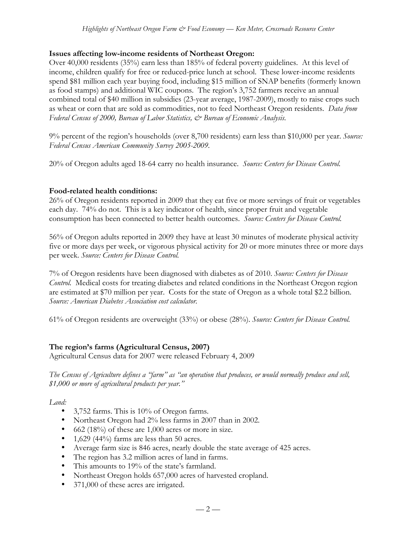## **Issues affecting low-income residents of Northeast Oregon:**

Over 40,000 residents (35%) earn less than 185% of federal poverty guidelines. At this level of income, children qualify for free or reduced-price lunch at school. These lower-income residents spend \$81 million each year buying food, including \$15 million of SNAP benefits (formerly known as food stamps) and additional WIC coupons. The region's 3,752 farmers receive an annual combined total of \$40 million in subsidies (23-year average, 1987-2009), mostly to raise crops such as wheat or corn that are sold as commodities, not to feed Northeast Oregon residents. *Data from Federal Census of 2000, Bureau of Labor Statistics, & Bureau of Economic Analysis.*

9% percent of the region's households (over 8,700 residents) earn less than \$10,000 per year. *Source: Federal Census American Community Survey 2005-2009.*

20% of Oregon adults aged 18-64 carry no health insurance. *Source: Centers for Disease Control.*

### **Food-related health conditions:**

26% of Oregon residents reported in 2009 that they eat five or more servings of fruit or vegetables each day. 74% do not. This is a key indicator of health, since proper fruit and vegetable consumption has been connected to better health outcomes. *Source: Centers for Disease Control.*

56% of Oregon adults reported in 2009 they have at least 30 minutes of moderate physical activity five or more days per week, or vigorous physical activity for 20 or more minutes three or more days per week. *Source: Centers for Disease Control.*

7% of Oregon residents have been diagnosed with diabetes as of 2010. *Source: Centers for Disease Control.* Medical costs for treating diabetes and related conditions in the Northeast Oregon region are estimated at \$70 million per year. Costs for the state of Oregon as a whole total \$2.2 billion. *Source: American Diabetes Association cost calculator.*

61% of Oregon residents are overweight (33%) or obese (28%). *Source: Centers for Disease Control.*

## **The region's farms (Agricultural Census, 2007)**

Agricultural Census data for 2007 were released February 4, 2009

*The Census of Agriculture defines a "farm" as "an operation that produces, or would normally produce and sell, \$1,000 or more of agricultural products per year."*

*Land:*

- 3,752 farms. This is 10% of Oregon farms.
- Northeast Oregon had 2% less farms in 2007 than in 2002.
- 662 (18%) of these are 1,000 acres or more in size.
- 1,629 (44%) farms are less than 50 acres.
- Average farm size is 846 acres, nearly double the state average of 425 acres.
- The region has 3.2 million acres of land in farms.
- This amounts to 19% of the state's farmland.
- Northeast Oregon holds 657,000 acres of harvested cropland.
- 371,000 of these acres are irrigated.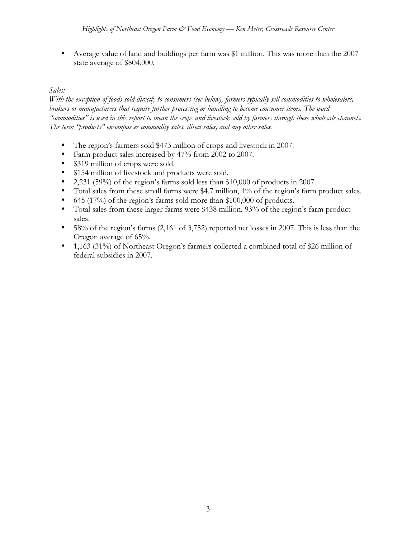• Average value of land and buildings per farm was \$1 million. This was more than the 2007 state average of \$804,000.

### *Sales:*

*With the exception of foods sold directly to consumers (see below), farmers typically sell commodities to wholesalers, brokers or manufacturers that require further processing or handling to become consumer items. The word "commodities" is used in this report to mean the crops and livestock sold by farmers through these wholesale channels. The term "products" encompasses commodity sales, direct sales, and any other sales.* 

- The region's farmers sold \$473 million of crops and livestock in 2007.
- Farm product sales increased by 47% from 2002 to 2007.
- \$319 million of crops were sold.
- \$154 million of livestock and products were sold.
- 2,231 (59%) of the region's farms sold less than  $$10,000$  of products in 2007.
- Total sales from these small farms were \$4.7 million, 1% of the region's farm product sales.
- 645 (17%) of the region's farms sold more than \$100,000 of products.
- Total sales from these larger farms were \$438 million, 93% of the region's farm product sales.
- 58% of the region's farms (2,161 of 3,752) reported net losses in 2007. This is less than the Oregon average of 65%.
- 1,163 (31%) of Northeast Oregon's farmers collected a combined total of \$26 million of federal subsidies in 2007.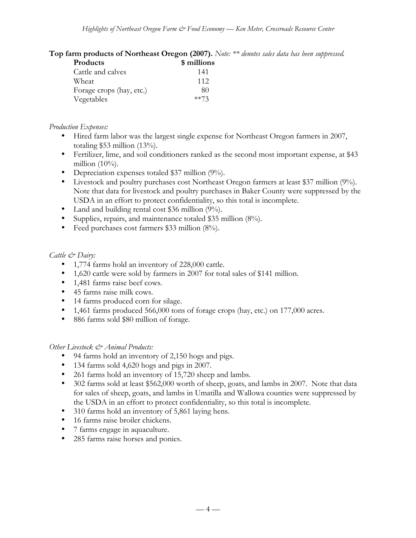**Top farm products of Northeast Oregon (2007).** *Note: \*\* denotes sales data has been suppressed.*

| Products                 | \$ millions |
|--------------------------|-------------|
| Cattle and calves        | 141         |
| Wheat                    | 112         |
| Forage crops (hay, etc.) | 80          |
| Vegetables               | $**73$      |

### *Production Expenses:*

- Hired farm labor was the largest single expense for Northeast Oregon farmers in 2007, totaling \$53 million (13%).
- Fertilizer, lime, and soil conditioners ranked as the second most important expense, at \$43 million  $(10\%)$ .
- Depreciation expenses totaled \$37 million (9%).
- Livestock and poultry purchases cost Northeast Oregon farmers at least \$37 million (9%). Note that data for livestock and poultry purchases in Baker County were suppressed by the USDA in an effort to protect confidentiality, so this total is incomplete.
- Land and building rental cost \$36 million (9%).
- Supplies, repairs, and maintenance totaled \$35 million (8%).
- Feed purchases cost farmers \$33 million (8%).

## *Cattle & Dairy:*

- 1,774 farms hold an inventory of 228,000 cattle.
- 1,620 cattle were sold by farmers in 2007 for total sales of \$141 million.
- 1,481 farms raise beef cows.
- 45 farms raise milk cows.
- 14 farms produced corn for silage.
- 1,461 farms produced 566,000 tons of forage crops (hay, etc.) on 177,000 acres.
- 886 farms sold \$80 million of forage.

### *Other Livestock & Animal Products:*

- 94 farms hold an inventory of 2,150 hogs and pigs.
- 134 farms sold 4,620 hogs and pigs in 2007.
- 261 farms hold an inventory of 15,720 sheep and lambs.
- 302 farms sold at least \$562,000 worth of sheep, goats, and lambs in 2007. Note that data for sales of sheep, goats, and lambs in Umatilla and Wallowa counties were suppressed by the USDA in an effort to protect confidentiality, so this total is incomplete.
- 310 farms hold an inventory of 5,861 laying hens.
- 16 farms raise broiler chickens.
- 7 farms engage in aquaculture.
- 285 farms raise horses and ponies.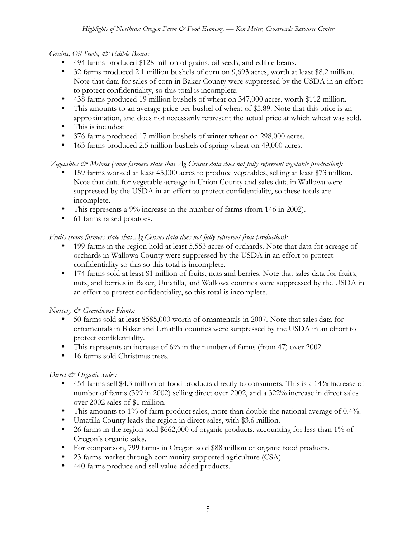## *Grains, Oil Seeds, & Edible Beans:*

- 494 farms produced \$128 million of grains, oil seeds, and edible beans.
- 32 farms produced 2.1 million bushels of corn on 9,693 acres, worth at least \$8.2 million. Note that data for sales of corn in Baker County were suppressed by the USDA in an effort to protect confidentiality, so this total is incomplete.
- 438 farms produced 19 million bushels of wheat on 347,000 acres, worth \$112 million.
- This amounts to an average price per bushel of wheat of \$5.89. Note that this price is an approximation, and does not necessarily represent the actual price at which wheat was sold.
- This is includes:
- 376 farms produced 17 million bushels of winter wheat on 298,000 acres.
- 163 farms produced 2.5 million bushels of spring wheat on 49,000 acres.

# *Vegetables & Melons (some farmers state that Ag Census data does not fully represent vegetable production):*

- 159 farms worked at least 45,000 acres to produce vegetables, selling at least \$73 million. Note that data for vegetable acreage in Union County and sales data in Wallowa were suppressed by the USDA in an effort to protect confidentiality, so these totals are incomplete.
- This represents a 9% increase in the number of farms (from 146 in 2002).
- 61 farms raised potatoes.

# *Fruits (some farmers state that Ag Census data does not fully represent fruit production):*

- 199 farms in the region hold at least 5,553 acres of orchards. Note that data for acreage of orchards in Wallowa County were suppressed by the USDA in an effort to protect confidentiality so this so this total is incomplete.
- 174 farms sold at least \$1 million of fruits, nuts and berries. Note that sales data for fruits, nuts, and berries in Baker, Umatilla, and Wallowa counties were suppressed by the USDA in an effort to protect confidentiality, so this total is incomplete.

## *Nursery & Greenhouse Plants:*

- 50 farms sold at least \$585,000 worth of ornamentals in 2007. Note that sales data for ornamentals in Baker and Umatilla counties were suppressed by the USDA in an effort to protect confidentiality.
- This represents an increase of 6% in the number of farms (from 47) over 2002.
- 16 farms sold Christmas trees.

# *Direct & Organic Sales:*

- 454 farms sell \$4.3 million of food products directly to consumers. This is a 14% increase of number of farms (399 in 2002) selling direct over 2002, and a 322% increase in direct sales over 2002 sales of \$1 million.
- This amounts to 1% of farm product sales, more than double the national average of 0.4%.
- Umatilla County leads the region in direct sales, with \$3.6 million.
- 26 farms in the region sold \$662,000 of organic products, accounting for less than 1% of Oregon's organic sales.
- For comparison, 799 farms in Oregon sold \$88 million of organic food products.
- 23 farms market through community supported agriculture (CSA).
- 440 farms produce and sell value-added products.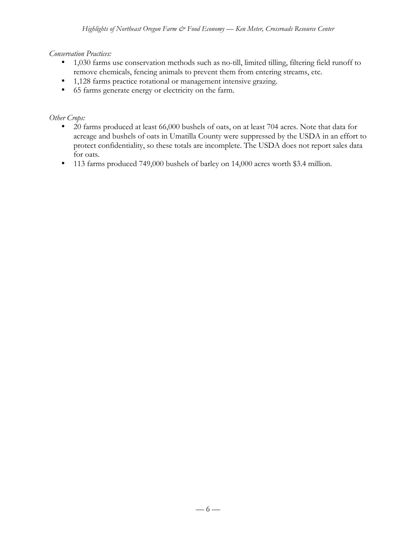# *Conservation Practices:*

- 1,030 farms use conservation methods such as no-till, limited tilling, filtering field runoff to remove chemicals, fencing animals to prevent them from entering streams, etc.
- 1,128 farms practice rotational or management intensive grazing.
- 65 farms generate energy or electricity on the farm.

## *Other Crops:*

- 20 farms produced at least 66,000 bushels of oats, on at least 704 acres. Note that data for acreage and bushels of oats in Umatilla County were suppressed by the USDA in an effort to protect confidentiality, so these totals are incomplete. The USDA does not report sales data for oats.
- 113 farms produced 749,000 bushels of barley on 14,000 acres worth \$3.4 million.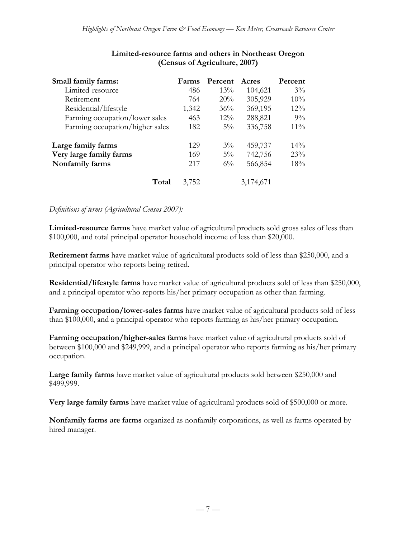| Small family farms:             | Farms | Percent | Acres     | Percent |
|---------------------------------|-------|---------|-----------|---------|
| Limited-resource                | 486   | 13%     | 104,621   | $3\%$   |
| Retirement                      | 764   | 20%     | 305,929   | 10%     |
| Residential/lifestyle           | 1,342 | 36%     | 369,195   | 12%     |
| Farming occupation/lower sales  | 463   | $12\%$  | 288,821   | $9\%$   |
| Farming occupation/higher sales | 182   | $5\%$   | 336,758   | $11\%$  |
| Large family farms              | 129   | $3\%$   | 459,737   | 14%     |
| Very large family farms         | 169   | $5\%$   | 742,756   | 23%     |
| Nonfamily farms                 | 217   | $6\%$   | 566,854   | 18%     |
| Total                           | 3,752 |         | 3,174,671 |         |

## **Limited-resource farms and others in Northeast Oregon (Census of Agriculture, 2007)**

#### *Definitions of terms (Agricultural Census 2007):*

**Limited-resource farms** have market value of agricultural products sold gross sales of less than \$100,000, and total principal operator household income of less than \$20,000.

**Retirement farms** have market value of agricultural products sold of less than \$250,000, and a principal operator who reports being retired.

**Residential/lifestyle farms** have market value of agricultural products sold of less than \$250,000, and a principal operator who reports his/her primary occupation as other than farming.

**Farming occupation/lower-sales farms** have market value of agricultural products sold of less than \$100,000, and a principal operator who reports farming as his/her primary occupation.

**Farming occupation/higher-sales farms** have market value of agricultural products sold of between \$100,000 and \$249,999, and a principal operator who reports farming as his/her primary occupation.

**Large family farms** have market value of agricultural products sold between \$250,000 and \$499,999.

**Very large family farms** have market value of agricultural products sold of \$500,000 or more.

**Nonfamily farms are farms** organized as nonfamily corporations, as well as farms operated by hired manager.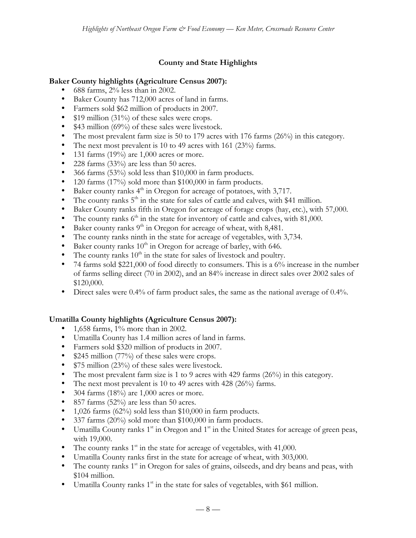# **County and State Highlights**

## **Baker County highlights (Agriculture Census 2007):**

- 688 farms,  $2\%$  less than in 2002.
- Baker County has 712,000 acres of land in farms.
- Farmers sold \$62 million of products in 2007.
- \$19 million (31%) of these sales were crops.
- \$43 million (69%) of these sales were livestock.
- The most prevalent farm size is 50 to 179 acres with 176 farms (26%) in this category.
- The next most prevalent is 10 to 49 acres with 161 (23%) farms.
- 131 farms  $(19%)$  are 1,000 acres or more.
- 228 farms (33%) are less than 50 acres.
- 366 farms (53%) sold less than \$10,000 in farm products.
- 120 farms (17%) sold more than \$100,000 in farm products.
- Baker county ranks  $4<sup>th</sup>$  in Oregon for acreage of potatoes, with 3,717.
- The county ranks  $5<sup>th</sup>$  in the state for sales of cattle and calves, with \$41 million.
- Baker County ranks fifth in Oregon for acreage of forage crops (hay, etc.), with 57,000.
- The county ranks  $6<sup>th</sup>$  in the state for inventory of cattle and calves, with 81,000.
- Baker county ranks  $9<sup>th</sup>$  in Oregon for acreage of wheat, with 8,481.
- The county ranks ninth in the state for acreage of vegetables, with 3,734.
- Baker county ranks  $10^{\text{th}}$  in Oregon for acreage of barley, with 646.
- The county ranks  $10<sup>th</sup>$  in the state for sales of livestock and poultry.
- 74 farms sold \$221,000 of food directly to consumers. This is a  $6\%$  increase in the number of farms selling direct (70 in 2002), and an 84% increase in direct sales over 2002 sales of \$120,000.
- Direct sales were 0.4% of farm product sales, the same as the national average of 0.4%.

# **Umatilla County highlights (Agriculture Census 2007):**

- 1,658 farms, 1% more than in 2002.
- Umatilla County has 1.4 million acres of land in farms.
- Farmers sold \$320 million of products in 2007.
- \$245 million (77%) of these sales were crops.
- \$75 million (23%) of these sales were livestock.
- The most prevalent farm size is 1 to 9 acres with 429 farms (26%) in this category.
- The next most prevalent is 10 to 49 acres with 428 (26%) farms.
- 304 farms  $(18\%)$  are 1,000 acres or more.
- 857 farms (52%) are less than 50 acres.
- 1,026 farms (62%) sold less than \$10,000 in farm products.
- 337 farms (20%) sold more than \$100,000 in farm products.
- Umatilla County ranks  $1<sup>st</sup>$  in Oregon and  $1<sup>st</sup>$  in the United States for acreage of green peas, with 19,000.
- The county ranks  $1<sup>st</sup>$  in the state for acreage of vegetables, with 41,000.
- Umatilla County ranks first in the state for acreage of wheat, with 303,000.
- The county ranks  $1<sup>st</sup>$  in Oregon for sales of grains, oilseeds, and dry beans and peas, with \$104 million.
- Umatilla County ranks  $1<sup>st</sup>$  in the state for sales of vegetables, with \$61 million.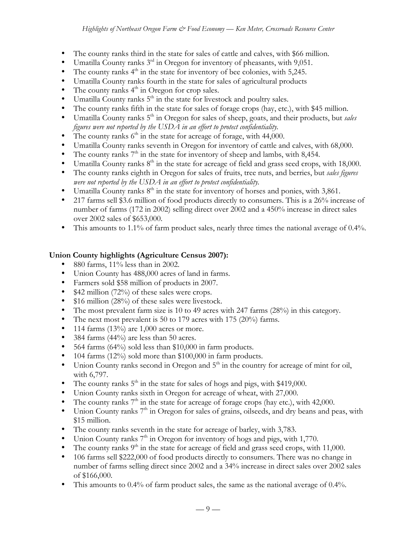- The county ranks third in the state for sales of cattle and calves, with \$66 million.
- Umatilla County ranks  $3<sup>rd</sup>$  in Oregon for inventory of pheasants, with 9,051.
- The county ranks  $4<sup>th</sup>$  in the state for inventory of bee colonies, with 5,245.
- Umatilla County ranks fourth in the state for sales of agricultural products
- The county ranks  $4<sup>th</sup>$  in Oregon for crop sales.
- Umatilla County ranks  $5<sup>th</sup>$  in the state for livestock and poultry sales.
- The county ranks fifth in the state for sales of forage crops (hay, etc.), with \$45 million.
- Umatilla County ranks 5<sup>th</sup> in Oregon for sales of sheep, goats, and their products, but *sales figures were not reported by the USDA in an effort to protect confidentiality.*
- The county ranks  $6<sup>th</sup>$  in the state for acreage of forage, with 44,000.
- Umatilla County ranks seventh in Oregon for inventory of cattle and calves, with 68,000.
- The county ranks  $7<sup>th</sup>$  in the state for inventory of sheep and lambs, with 8,454.
- Umatilla County ranks  $8<sup>th</sup>$  in the state for acreage of field and grass seed crops, with 18,000.
- The county ranks eighth in Oregon for sales of fruits, tree nuts, and berries, but *sales figures were not reported by the USDA in an effort to protect confidentiality.*
- Umatilla County ranks  $8<sup>th</sup>$  in the state for inventory of horses and ponies, with 3,861.
- 217 farms sell \$3.6 million of food products directly to consumers. This is a 26% increase of number of farms (172 in 2002) selling direct over 2002 and a 450% increase in direct sales over 2002 sales of \$653,000.
- This amounts to 1.1% of farm product sales, nearly three times the national average of 0.4%.

# **Union County highlights (Agriculture Census 2007):**

- 880 farms, 11% less than in 2002.
- Union County has 488,000 acres of land in farms.
- 
- Farmers sold \$58 million of products in 2007.<br>• \$42 million (72%) of these sales were crops. \$42 million (72%) of these sales were crops.
- \$16 million (28%) of these sales were livestock.
- The most prevalent farm size is 10 to 49 acres with 247 farms (28%) in this category.
- The next most prevalent is 50 to 179 acres with 175 (20%) farms.
- 114 farms  $(13\%)$  are 1,000 acres or more.
- 384 farms (44%) are less than 50 acres.
- 564 farms (64%) sold less than \$10,000 in farm products.
- 104 farms (12%) sold more than \$100,000 in farm products.
- Union County ranks second in Oregon and  $5<sup>th</sup>$  in the country for acreage of mint for oil, with 6,797.
- The county ranks  $5<sup>th</sup>$  in the state for sales of hogs and pigs, with \$419,000.
- Union County ranks sixth in Oregon for acreage of wheat, with 27,000.
- The county ranks  $7<sup>th</sup>$  in the state for acreage of forage crops (hay etc.), with 42,000.
- Union County ranks  $7<sup>th</sup>$  in Oregon for sales of grains, oilseeds, and dry beans and peas, with \$15 million.
- The county ranks seventh in the state for acreage of barley, with 3,783.
- Union County ranks  $7<sup>th</sup>$  in Oregon for inventory of hogs and pigs, with 1,770.
- The county ranks  $9<sup>th</sup>$  in the state for acreage of field and grass seed crops, with 11,000.
- 106 farms sell \$222,000 of food products directly to consumers. There was no change in number of farms selling direct since 2002 and a 34% increase in direct sales over 2002 sales of \$166,000.
- This amounts to 0.4% of farm product sales, the same as the national average of 0.4%.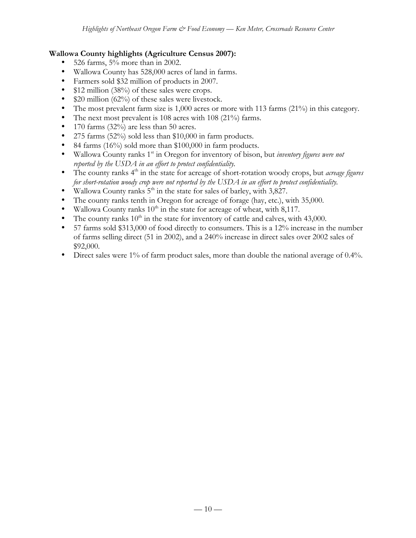## **Wallowa County highlights (Agriculture Census 2007):**

- 526 farms, 5% more than in 2002.
- Wallowa County has 528,000 acres of land in farms.
- Farmers sold \$32 million of products in 2007.
- \$12 million (38%) of these sales were crops.
- \$20 million (62%) of these sales were livestock.
- The most prevalent farm size is 1,000 acres or more with 113 farms (21%) in this category.
- The next most prevalent is 108 acres with 108 (21%) farms.
- 170 farms (32%) are less than 50 acres.
- 275 farms (52%) sold less than \$10,000 in farm products.
- 84 farms (16%) sold more than \$100,000 in farm products.
- Wallowa County ranks 1<sup>st</sup> in Oregon for inventory of bison, but *inventory figures were not reported by the USDA in an effort to protect confidentiality.*
- The county ranks 4<sup>th</sup> in the state for acreage of short-rotation woody crops, but *acreage figures for short-rotation woody crop were not reported by the USDA in an effort to protect confidentiality.*
- Wallowa County ranks  $5<sup>th</sup>$  in the state for sales of barley, with 3,827.
- The county ranks tenth in Oregon for acreage of forage (hay, etc.), with 35,000.
- Wallowa County ranks  $10^{th}$  in the state for acreage of wheat, with 8,117.
- The county ranks  $10<sup>th</sup>$  in the state for inventory of cattle and calves, with 43,000.
- 57 farms sold \$313,000 of food directly to consumers. This is a 12% increase in the number of farms selling direct (51 in 2002), and a 240% increase in direct sales over 2002 sales of \$92,000.
- Direct sales were 1% of farm product sales, more than double the national average of 0.4%.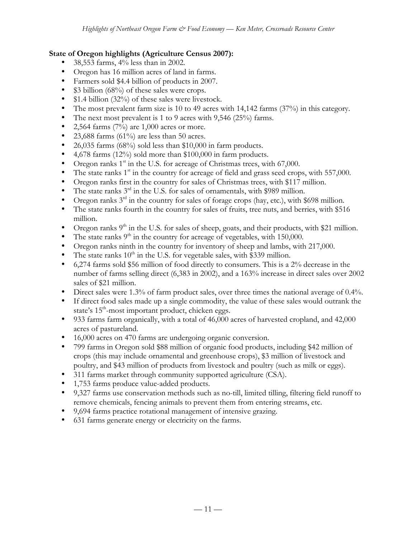## **State of Oregon highlights (Agriculture Census 2007):**

- 38,553 farms, 4% less than in 2002.
- Oregon has 16 million acres of land in farms.
- Farmers sold \$4.4 billion of products in 2007.
- \$3 billion (68%) of these sales were crops.
- \$1.4 billion (32%) of these sales were livestock.
- The most prevalent farm size is 10 to 49 acres with 14,142 farms (37%) in this category.
- The next most prevalent is 1 to 9 acres with 9,546 (25%) farms.<br>• 2.564 farms  $(7\%)$  are 1.000 acres or more.
- 2,564 farms  $(7%)$  are 1,000 acres or more.
- 23,688 farms (61%) are less than 50 acres.
- 26,035 farms (68%) sold less than \$10,000 in farm products.
- 4,678 farms (12%) sold more than \$100,000 in farm products.
- Oregon ranks  $1<sup>st</sup>$  in the U.S. for acreage of Christmas trees, with 67,000.
- The state ranks  $1<sup>st</sup>$  in the country for acreage of field and grass seed crops, with 557,000.
- Oregon ranks first in the country for sales of Christmas trees, with \$117 million.
- The state ranks  $3<sup>rd</sup>$  in the U.S. for sales of ornamentals, with \$989 million.
- Oregon ranks  $3<sup>rd</sup>$  in the country for sales of forage crops (hay, etc.), with \$698 million.
- The state ranks fourth in the country for sales of fruits, tree nuts, and berries, with \$516 million.
- Oregon ranks  $9<sup>th</sup>$  in the U.S. for sales of sheep, goats, and their products, with \$21 million.
- The state ranks  $9<sup>th</sup>$  in the country for acreage of vegetables, with 150,000.
- Oregon ranks ninth in the country for inventory of sheep and lambs, with 217,000.
- The state ranks  $10<sup>th</sup>$  in the U.S. for vegetable sales, with \$339 million.
- 6,274 farms sold \$56 million of food directly to consumers. This is a 2% decrease in the number of farms selling direct (6,383 in 2002), and a 163% increase in direct sales over 2002 sales of \$21 million.
- Direct sales were 1.3% of farm product sales, over three times the national average of 0.4%.
- If direct food sales made up a single commodity, the value of these sales would outrank the state's 15<sup>th</sup>-most important product, chicken eggs.
- 933 farms farm organically, with a total of 46,000 acres of harvested cropland, and 42,000 acres of pastureland.
- 16,000 acres on 470 farms are undergoing organic conversion.
- 799 farms in Oregon sold \$88 million of organic food products, including \$42 million of crops (this may include ornamental and greenhouse crops), \$3 million of livestock and poultry, and \$43 million of products from livestock and poultry (such as milk or eggs).
- 311 farms market through community supported agriculture (CSA).
- 1,753 farms produce value-added products.
- 9,327 farms use conservation methods such as no-till, limited tilling, filtering field runoff to remove chemicals, fencing animals to prevent them from entering streams, etc.
- 9,694 farms practice rotational management of intensive grazing.
- 631 farms generate energy or electricity on the farms.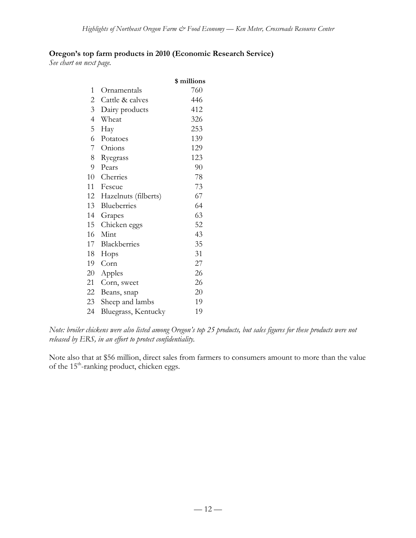## **Oregon's top farm products in 2010 (Economic Research Service)**

*See chart on next page.*

|                |                      | \$ millions |
|----------------|----------------------|-------------|
| 1              | Ornamentals          | 760         |
| $\overline{c}$ | Cattle & calves      | 446         |
| 3              | Dairy products       | 412         |
| $\overline{4}$ | Wheat                | 326         |
| 5              | Hay                  | 253         |
| 6              | Potatoes             | 139         |
| 7              | Onions               | 129         |
| 8              | Ryegrass             | 123         |
| 9              | Pears                | 90          |
| 10             | Cherries             | 78          |
| 11             | Fescue               | 73          |
| 12             | Hazelnuts (filberts) | 67          |
| 13             | Blueberries          | 64          |
| 14             | Grapes               | 63          |
| 15             | Chicken eggs         | 52          |
| 16             | Mint                 | 43          |
| 17             | Blackberries         | 35          |
| 18             | Hops                 | 31          |
| 19             | Corn                 | 27          |
| 20             | Apples               | 26          |
| 21             | Corn, sweet          | 26          |
| 22             | Beans, snap          | 20          |
| 23             | Sheep and lambs      | 19          |
| 24             | Bluegrass, Kentucky  | 19          |

*Note: broiler chickens were also listed among Oregon's top 25 products, but sales figures for these products were not released by ERS, in an effort to protect confidentiality.*

Note also that at \$56 million, direct sales from farmers to consumers amount to more than the value of the 15<sup>th</sup>-ranking product, chicken eggs.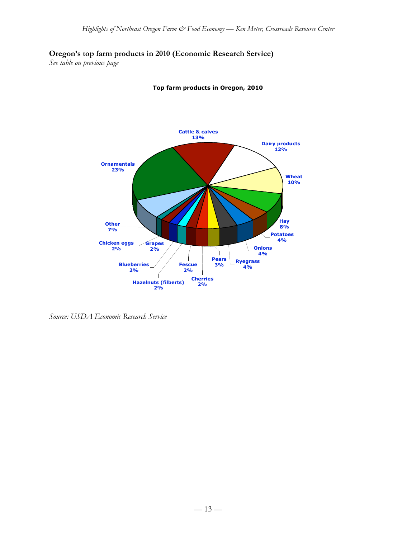## **Oregon's top farm products in 2010 (Economic Research Service)**

*See table on previous page*



**Top farm products in Oregon, 2010**

*Source: USDA Economic Research Service*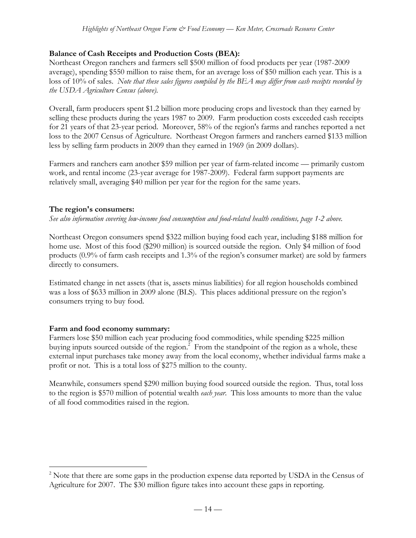## **Balance of Cash Receipts and Production Costs (BEA):**

Northeast Oregon ranchers and farmers sell \$500 million of food products per year (1987-2009 average), spending \$550 million to raise them, for an average loss of \$50 million each year. This is a loss of 10% of sales. *Note that these sales figures compiled by the BEA may differ from cash receipts recorded by the USDA Agriculture Census (above).*

Overall, farm producers spent \$1.2 billion more producing crops and livestock than they earned by selling these products during the years 1987 to 2009. Farm production costs exceeded cash receipts for 21 years of that 23-year period. Moreover, 58% of the region's farms and ranches reported a net loss to the 2007 Census of Agriculture. Northeast Oregon farmers and ranchers earned \$133 million less by selling farm products in 2009 than they earned in 1969 (in 2009 dollars).

Farmers and ranchers earn another \$59 million per year of farm-related income — primarily custom work, and rental income (23-year average for 1987-2009). Federal farm support payments are relatively small, averaging \$40 million per year for the region for the same years.

# **The region's consumers:**

*See also information covering low-income food consumption and food-related health conditions, page 1-2 above.*

Northeast Oregon consumers spend \$322 million buying food each year, including \$188 million for home use. Most of this food (\$290 million) is sourced outside the region. Only \$4 million of food products (0.9% of farm cash receipts and 1.3% of the region's consumer market) are sold by farmers directly to consumers.

Estimated change in net assets (that is, assets minus liabilities) for all region households combined was a loss of \$633 million in 2009 alone (BLS). This places additional pressure on the region's consumers trying to buy food.

## **Farm and food economy summary:**

Farmers lose \$50 million each year producing food commodities, while spending \$225 million buying inputs sourced outside of the region.<sup>2</sup> From the standpoint of the region as a whole, these external input purchases take money away from the local economy, whether individual farms make a profit or not. This is a total loss of \$275 million to the county.

Meanwhile, consumers spend \$290 million buying food sourced outside the region. Thus, total loss to the region is \$570 million of potential wealth *each year*. This loss amounts to more than the value of all food commodities raised in the region.

 $\frac{1}{2}$ <sup>2</sup> Note that there are some gaps in the production expense data reported by USDA in the Census of Agriculture for 2007. The \$30 million figure takes into account these gaps in reporting.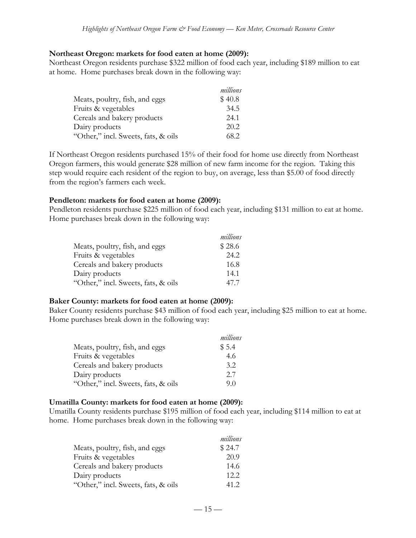#### **Northeast Oregon: markets for food eaten at home (2009):**

Northeast Oregon residents purchase \$322 million of food each year, including \$189 million to eat at home. Home purchases break down in the following way:

|                                     | millions |
|-------------------------------------|----------|
| Meats, poultry, fish, and eggs      | \$40.8   |
| Fruits & vegetables                 | 34.5     |
| Cereals and bakery products         | 24.1     |
| Dairy products                      | 20.2     |
| "Other," incl. Sweets, fats, & oils | 68.2     |

If Northeast Oregon residents purchased 15% of their food for home use directly from Northeast Oregon farmers, this would generate \$28 million of new farm income for the region. Taking this step would require each resident of the region to buy, on average, less than \$5.00 of food directly from the region's farmers each week.

#### **Pendleton: markets for food eaten at home (2009):**

Pendleton residents purchase \$225 million of food each year, including \$131 million to eat at home. Home purchases break down in the following way:

|                                     | millions |
|-------------------------------------|----------|
| Meats, poultry, fish, and eggs      | \$28.6   |
| Fruits & vegetables                 | 24.2     |
| Cereals and bakery products         | 16.8     |
| Dairy products                      | 14.1     |
| "Other," incl. Sweets, fats, & oils | 47.7     |

### **Baker County: markets for food eaten at home (2009):**

Baker County residents purchase \$43 million of food each year, including \$25 million to eat at home. Home purchases break down in the following way:

|                                     | millions |
|-------------------------------------|----------|
| Meats, poultry, fish, and eggs      | \$5.4    |
| Fruits & vegetables                 | 4.6      |
| Cereals and bakery products         | 3.2      |
| Dairy products                      | 2.7      |
| "Other," incl. Sweets, fats, & oils | 9.0      |

### **Umatilla County: markets for food eaten at home (2009):**

Umatilla County residents purchase \$195 million of food each year, including \$114 million to eat at home. Home purchases break down in the following way:

|                                     | millions |
|-------------------------------------|----------|
| Meats, poultry, fish, and eggs      | \$24.7   |
| Fruits & vegetables                 | 20.9     |
| Cereals and bakery products         | 14.6     |
| Dairy products                      | 12.2.    |
| "Other," incl. Sweets, fats, & oils | 41.2     |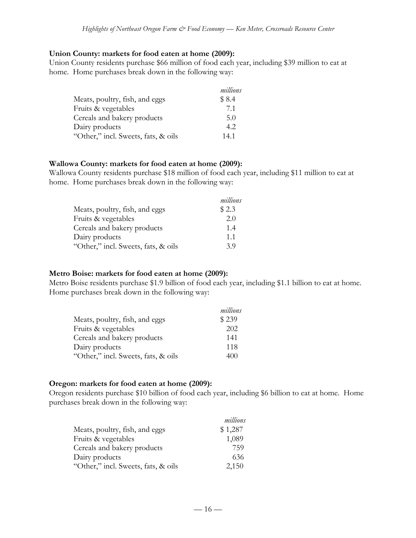#### **Union County: markets for food eaten at home (2009):**

Union County residents purchase \$66 million of food each year, including \$39 million to eat at home. Home purchases break down in the following way:

|                                     | millions |
|-------------------------------------|----------|
| Meats, poultry, fish, and eggs      | \$8.4    |
| Fruits & vegetables                 | 7.1      |
| Cereals and bakery products         | 5.0      |
| Dairy products                      | 4.2      |
| "Other," incl. Sweets, fats, & oils | 14.1     |

#### **Wallowa County: markets for food eaten at home (2009):**

Wallowa County residents purchase \$18 million of food each year, including \$11 million to eat at home. Home purchases break down in the following way:

|                                     | millions |
|-------------------------------------|----------|
| Meats, poultry, fish, and eggs      | \$2.3    |
| Fruits & vegetables                 | 2.0      |
| Cereals and bakery products         | 1.4      |
| Dairy products                      | 1.1      |
| "Other," incl. Sweets, fats, & oils | 39       |

### **Metro Boise: markets for food eaten at home (2009):**

Metro Boise residents purchase \$1.9 billion of food each year, including \$1.1 billion to eat at home. Home purchases break down in the following way:

|                                     | millions |
|-------------------------------------|----------|
| Meats, poultry, fish, and eggs      | \$239    |
| Fruits & vegetables                 | 202      |
| Cereals and bakery products         | 141      |
| Dairy products                      | 118      |
| "Other," incl. Sweets, fats, & oils | 400      |

#### **Oregon: markets for food eaten at home (2009):**

Oregon residents purchase \$10 billion of food each year, including \$6 billion to eat at home. Home purchases break down in the following way:

|                                     | millions |
|-------------------------------------|----------|
| Meats, poultry, fish, and eggs      | \$1,287  |
| Fruits & vegetables                 | 1,089    |
| Cereals and bakery products         | 759      |
| Dairy products                      | 636      |
| "Other," incl. Sweets, fats, & oils | 2,150    |